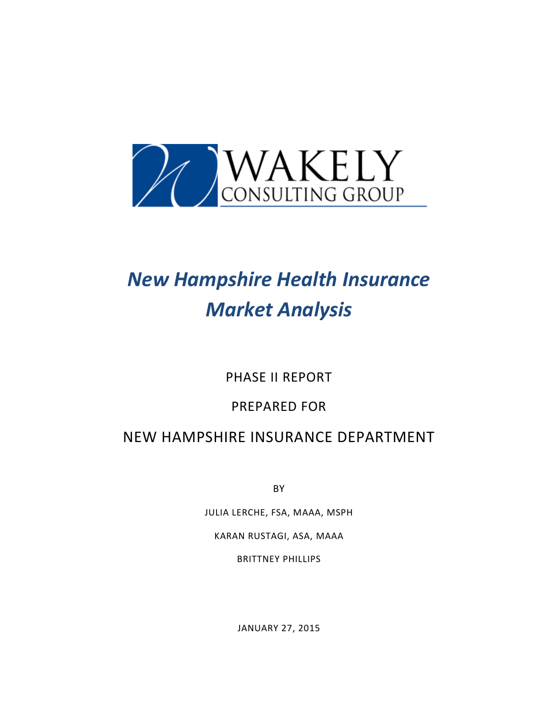

# *New Hampshire Health Insurance Market Analysis*

PHASE II REPORT

### PREPARED FOR

## NEW HAMPSHIRE INSURANCE DEPARTMENT

BY

JULIA LERCHE, FSA, MAAA, MSPH KARAN RUSTAGI, ASA, MAAA BRITTNEY PHILLIPS

JANUARY 27, 2015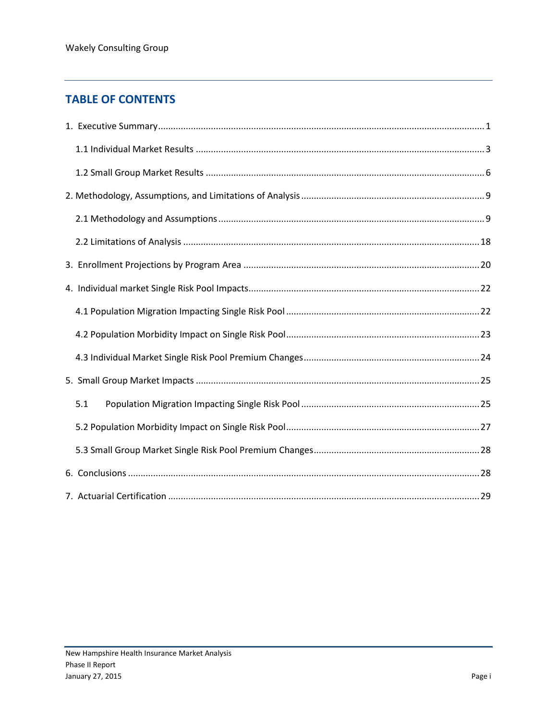### **TABLE OF CONTENTS**

| 5.1 |  |
|-----|--|
|     |  |
|     |  |
|     |  |
|     |  |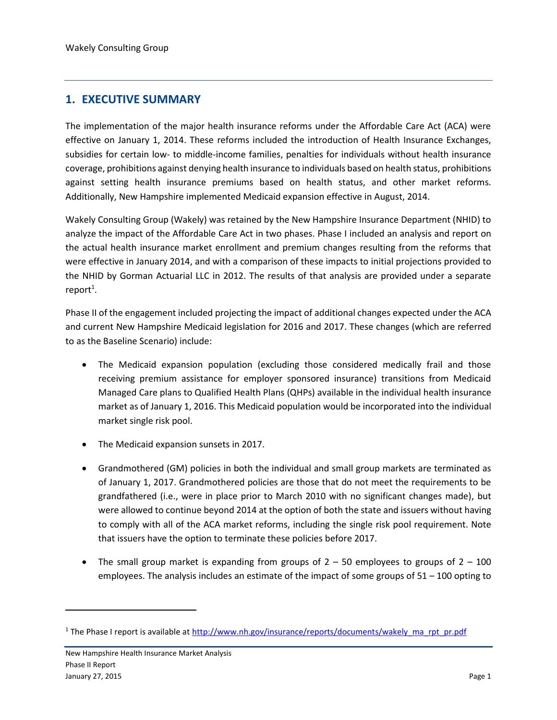#### <span id="page-2-0"></span>**1. EXECUTIVE SUMMARY**

The implementation of the major health insurance reforms under the Affordable Care Act (ACA) were effective on January 1, 2014. These reforms included the introduction of Health Insurance Exchanges, subsidies for certain low- to middle-income families, penalties for individuals without health insurance coverage, prohibitions against denying health insurance to individuals based on health status, prohibitions against setting health insurance premiums based on health status, and other market reforms. Additionally, New Hampshire implemented Medicaid expansion effective in August, 2014.

Wakely Consulting Group (Wakely) was retained by the New Hampshire Insurance Department (NHID) to analyze the impact of the Affordable Care Act in two phases. Phase I included an analysis and report on the actual health insurance market enrollment and premium changes resulting from the reforms that were effective in January 2014, and with a comparison of these impacts to initial projections provided to the NHID by Gorman Actuarial LLC in 2012. The results of that analysis are provided under a separate  $report<sup>1</sup>$ .

Phase II of the engagement included projecting the impact of additional changes expected under the ACA and current New Hampshire Medicaid legislation for 2016 and 2017. These changes (which are referred to as the Baseline Scenario) include:

- The Medicaid expansion population (excluding those considered medically frail and those receiving premium assistance for employer sponsored insurance) transitions from Medicaid Managed Care plans to Qualified Health Plans (QHPs) available in the individual health insurance market as of January 1, 2016. This Medicaid population would be incorporated into the individual market single risk pool.
- The Medicaid expansion sunsets in 2017.
- Grandmothered (GM) policies in both the individual and small group markets are terminated as of January 1, 2017. Grandmothered policies are those that do not meet the requirements to be grandfathered (i.e., were in place prior to March 2010 with no significant changes made), but were allowed to continue beyond 2014 at the option of both the state and issuers without having to comply with all of the ACA market reforms, including the single risk pool requirement. Note that issuers have the option to terminate these policies before 2017.
- The small group market is expanding from groups of  $2 50$  employees to groups of  $2 100$ employees. The analysis includes an estimate of the impact of some groups of  $51 - 100$  opting to

 $\overline{a}$ 

<sup>&</sup>lt;sup>1</sup> The Phase I report is available at [http://www.nh.gov/insurance/reports/documents/wakely\\_ma\\_rpt\\_pr.pdf](http://www.nh.gov/insurance/reports/documents/wakely_ma_rpt_pr.pdf)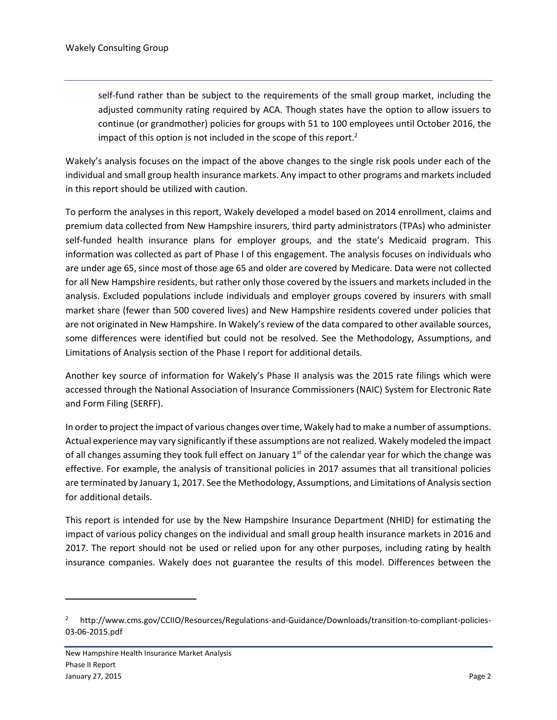self-fund rather than be subject to the requirements of the small group market, including the adjusted community rating required by ACA. Though states have the option to allow issuers to continue (or grandmother) policies for groups with 51 to 100 employees until October 2016, the impact of this option is not included in the scope of this report.<sup>2</sup>

Wakely's analysis focuses on the impact of the above changes to the single risk pools under each of the individual and small group health insurance markets. Any impact to other programs and markets included in this report should be utilized with caution.

To perform the analyses in this report, Wakely developed a model based on 2014 enrollment, claims and premium data collected from New Hampshire insurers, third party administrators (TPAs) who administer self-funded health insurance plans for employer groups, and the state's Medicaid program. This information was collected as part of Phase I of this engagement. The analysis focuses on individuals who are under age 65, since most of those age 65 and older are covered by Medicare. Data were not collected for all New Hampshire residents, but rather only those covered by the issuers and markets included in the analysis. Excluded populations include individuals and employer groups covered by insurers with small market share (fewer than 500 covered lives) and New Hampshire residents covered under policies that are not originated in New Hampshire. In Wakely's review of the data compared to other available sources, some differences were identified but could not be resolved. See the Methodology, Assumptions, and Limitations of Analysis section of the Phase I report for additional details.

Another key source of information for Wakely's Phase II analysis was the 2015 rate filings which were accessed through the National Association of Insurance Commissioners (NAIC) System for Electronic Rate and Form Filing (SERFF).

In order to project the impact of various changes over time, Wakely had to make a number of assumptions. Actual experience may vary significantly if these assumptions are not realized. Wakely modeled the impact of all changes assuming they took full effect on January  $1<sup>st</sup>$  of the calendar year for which the change was effective. For example, the analysis of transitional policies in 2017 assumes that all transitional policies are terminated by January 1, 2017. See the Methodology, Assumptions, and Limitations of Analysis section for additional details.

This report is intended for use by the New Hampshire Insurance Department (NHID) for estimating the impact of various policy changes on the individual and small group health insurance markets in 2016 and 2017. The report should not be used or relied upon for any other purposes, including rating by health insurance companies. Wakely does not guarantee the results of this model. Differences between the

 $\overline{\phantom{a}}$ 

<sup>2</sup> http://www.cms.gov/CCIIO/Resources/Regulations-and-Guidance/Downloads/transition-to-compliant-policies-03-06-2015.pdf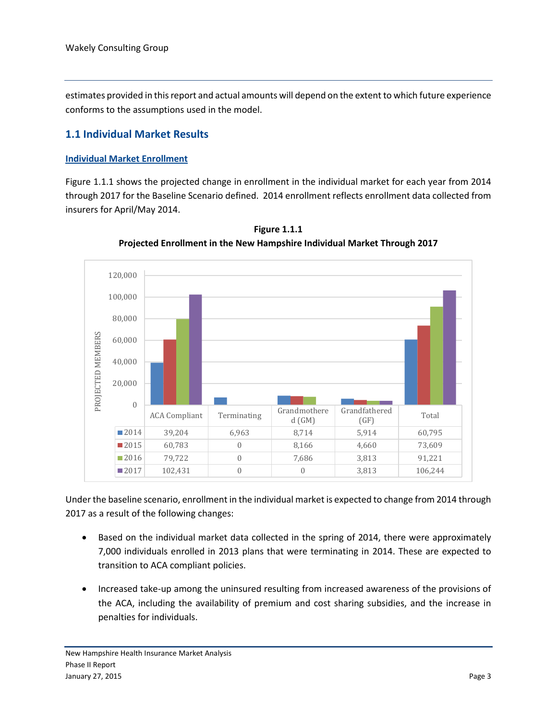estimates provided in this report and actual amounts will depend on the extent to which future experience conforms to the assumptions used in the model.

#### <span id="page-4-0"></span>**1.1 Individual Market Results**

#### **Individual Market Enrollment**

Figure 1.1.1 shows the projected change in enrollment in the individual market for each year from 2014 through 2017 for the Baseline Scenario defined. 2014 enrollment reflects enrollment data collected from insurers for April/May 2014.



**Figure 1.1.1 Projected Enrollment in the New Hampshire Individual Market Through 2017**

Under the baseline scenario, enrollment in the individual market is expected to change from 2014 through 2017 as a result of the following changes:

- Based on the individual market data collected in the spring of 2014, there were approximately 7,000 individuals enrolled in 2013 plans that were terminating in 2014. These are expected to transition to ACA compliant policies.
- Increased take-up among the uninsured resulting from increased awareness of the provisions of the ACA, including the availability of premium and cost sharing subsidies, and the increase in penalties for individuals.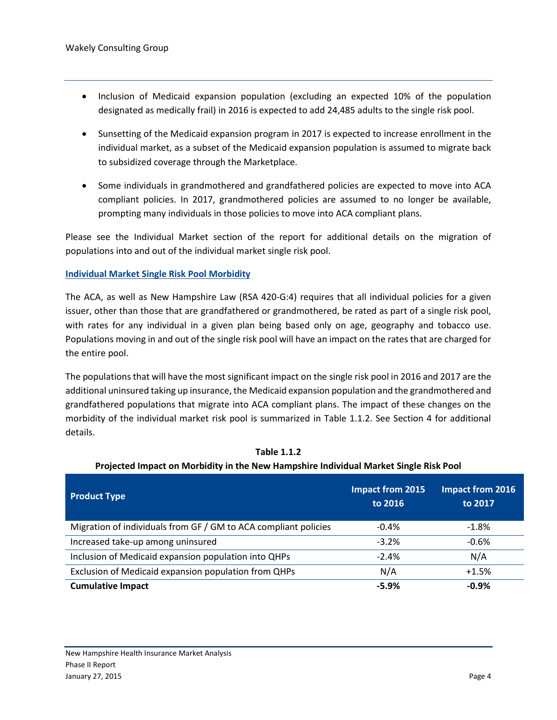- Inclusion of Medicaid expansion population (excluding an expected 10% of the population designated as medically frail) in 2016 is expected to add 24,485 adults to the single risk pool.
- Sunsetting of the Medicaid expansion program in 2017 is expected to increase enrollment in the individual market, as a subset of the Medicaid expansion population is assumed to migrate back to subsidized coverage through the Marketplace.
- Some individuals in grandmothered and grandfathered policies are expected to move into ACA compliant policies. In 2017, grandmothered policies are assumed to no longer be available, prompting many individuals in those policies to move into ACA compliant plans.

Please see the Individual Market section of the report for additional details on the migration of populations into and out of the individual market single risk pool.

#### **Individual Market Single Risk Pool Morbidity**

The ACA, as well as New Hampshire Law (RSA 420-G:4) requires that all individual policies for a given issuer, other than those that are grandfathered or grandmothered, be rated as part of a single risk pool, with rates for any individual in a given plan being based only on age, geography and tobacco use. Populations moving in and out of the single risk pool will have an impact on the rates that are charged for the entire pool.

The populations that will have the most significant impact on the single risk pool in 2016 and 2017 are the additional uninsured taking up insurance, the Medicaid expansion population and the grandmothered and grandfathered populations that migrate into ACA compliant plans. The impact of these changes on the morbidity of the individual market risk pool is summarized in Table 1.1.2. See Section 4 for additional details.

| <b>Product Type</b>                                             | <b>Impact from 2015</b><br>to 2016 | <b>Impact from 2016</b><br>to 2017 |
|-----------------------------------------------------------------|------------------------------------|------------------------------------|
| Migration of individuals from GF / GM to ACA compliant policies | $-0.4%$                            | $-1.8\%$                           |
| Increased take-up among uninsured                               | $-3.2%$                            | $-0.6%$                            |
| Inclusion of Medicaid expansion population into QHPs            | $-2.4%$                            | N/A                                |
| Exclusion of Medicaid expansion population from QHPs            | N/A                                | $+1.5%$                            |
| <b>Cumulative Impact</b>                                        | $-5.9%$                            | $-0.9%$                            |

**Table 1.1.2 Projected Impact on Morbidity in the New Hampshire Individual Market Single Risk Pool**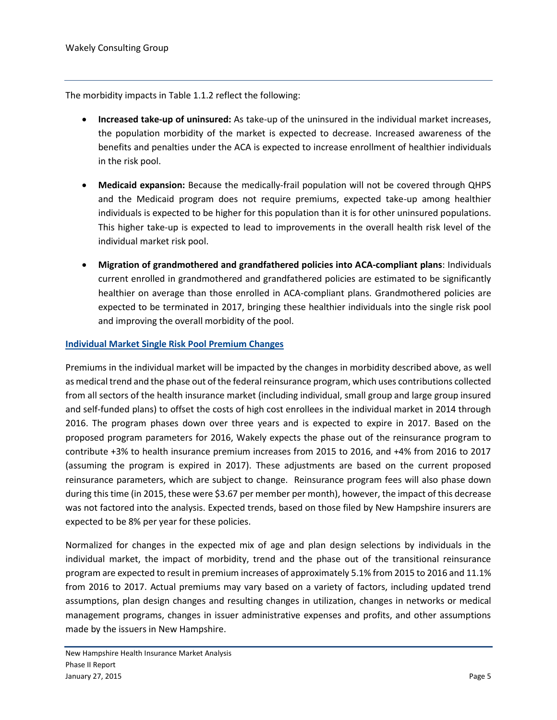The morbidity impacts in Table 1.1.2 reflect the following:

- **Increased take-up of uninsured:** As take-up of the uninsured in the individual market increases, the population morbidity of the market is expected to decrease. Increased awareness of the benefits and penalties under the ACA is expected to increase enrollment of healthier individuals in the risk pool.
- **Medicaid expansion:** Because the medically-frail population will not be covered through QHPS and the Medicaid program does not require premiums, expected take-up among healthier individuals is expected to be higher for this population than it is for other uninsured populations. This higher take-up is expected to lead to improvements in the overall health risk level of the individual market risk pool.
- **Migration of grandmothered and grandfathered policies into ACA-compliant plans**: Individuals current enrolled in grandmothered and grandfathered policies are estimated to be significantly healthier on average than those enrolled in ACA-compliant plans. Grandmothered policies are expected to be terminated in 2017, bringing these healthier individuals into the single risk pool and improving the overall morbidity of the pool.

#### **Individual Market Single Risk Pool Premium Changes**

Premiums in the individual market will be impacted by the changes in morbidity described above, as well as medical trend and the phase out of the federal reinsurance program, which uses contributions collected from all sectors of the health insurance market (including individual, small group and large group insured and self-funded plans) to offset the costs of high cost enrollees in the individual market in 2014 through 2016. The program phases down over three years and is expected to expire in 2017. Based on the proposed program parameters for 2016, Wakely expects the phase out of the reinsurance program to contribute +3% to health insurance premium increases from 2015 to 2016, and +4% from 2016 to 2017 (assuming the program is expired in 2017). These adjustments are based on the current proposed reinsurance parameters, which are subject to change. Reinsurance program fees will also phase down during this time (in 2015, these were \$3.67 per member per month), however, the impact of this decrease was not factored into the analysis. Expected trends, based on those filed by New Hampshire insurers are expected to be 8% per year for these policies.

Normalized for changes in the expected mix of age and plan design selections by individuals in the individual market, the impact of morbidity, trend and the phase out of the transitional reinsurance program are expected to result in premium increases of approximately 5.1% from 2015 to 2016 and 11.1% from 2016 to 2017. Actual premiums may vary based on a variety of factors, including updated trend assumptions, plan design changes and resulting changes in utilization, changes in networks or medical management programs, changes in issuer administrative expenses and profits, and other assumptions made by the issuers in New Hampshire.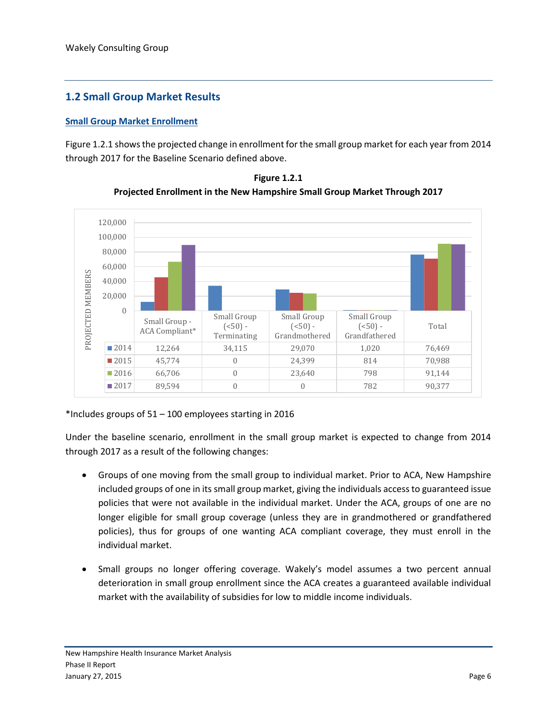#### <span id="page-7-0"></span>**1.2 Small Group Market Results**

#### **Small Group Market Enrollment**

Figure 1.2.1 shows the projected change in enrollment for the small group market for each year from 2014 through 2017 for the Baseline Scenario defined above.



**Figure 1.2.1 Projected Enrollment in the New Hampshire Small Group Market Through 2017**

#### \*Includes groups of 51 – 100 employees starting in 2016

Under the baseline scenario, enrollment in the small group market is expected to change from 2014 through 2017 as a result of the following changes:

- Groups of one moving from the small group to individual market. Prior to ACA, New Hampshire included groups of one in its small group market, giving the individuals access to guaranteed issue policies that were not available in the individual market. Under the ACA, groups of one are no longer eligible for small group coverage (unless they are in grandmothered or grandfathered policies), thus for groups of one wanting ACA compliant coverage, they must enroll in the individual market.
- Small groups no longer offering coverage. Wakely's model assumes a two percent annual deterioration in small group enrollment since the ACA creates a guaranteed available individual market with the availability of subsidies for low to middle income individuals.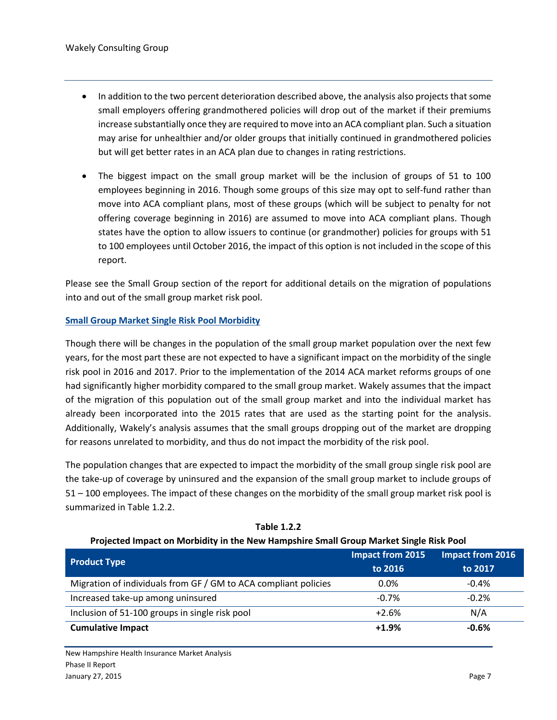- In addition to the two percent deterioration described above, the analysis also projects that some small employers offering grandmothered policies will drop out of the market if their premiums increase substantially once they are required to move into an ACA compliant plan. Such a situation may arise for unhealthier and/or older groups that initially continued in grandmothered policies but will get better rates in an ACA plan due to changes in rating restrictions.
- The biggest impact on the small group market will be the inclusion of groups of 51 to 100 employees beginning in 2016. Though some groups of this size may opt to self-fund rather than move into ACA compliant plans, most of these groups (which will be subject to penalty for not offering coverage beginning in 2016) are assumed to move into ACA compliant plans. Though states have the option to allow issuers to continue (or grandmother) policies for groups with 51 to 100 employees until October 2016, the impact of this option is not included in the scope of this report.

Please see the Small Group section of the report for additional details on the migration of populations into and out of the small group market risk pool.

#### **Small Group Market Single Risk Pool Morbidity**

Though there will be changes in the population of the small group market population over the next few years, for the most part these are not expected to have a significant impact on the morbidity of the single risk pool in 2016 and 2017. Prior to the implementation of the 2014 ACA market reforms groups of one had significantly higher morbidity compared to the small group market. Wakely assumes that the impact of the migration of this population out of the small group market and into the individual market has already been incorporated into the 2015 rates that are used as the starting point for the analysis. Additionally, Wakely's analysis assumes that the small groups dropping out of the market are dropping for reasons unrelated to morbidity, and thus do not impact the morbidity of the risk pool.

The population changes that are expected to impact the morbidity of the small group single risk pool are the take-up of coverage by uninsured and the expansion of the small group market to include groups of 51 – 100 employees. The impact of these changes on the morbidity of the small group market risk pool is summarized in Table 1.2.2.

| Projected Impact on Morbidity in the New Hampshire Small Group Market Single Risk Pool |                                    |                                    |  |  |
|----------------------------------------------------------------------------------------|------------------------------------|------------------------------------|--|--|
| <b>Product Type</b>                                                                    | <b>Impact from 2015</b><br>to 2016 | <b>Impact from 2016</b><br>to 2017 |  |  |
| Migration of individuals from GF / GM to ACA compliant policies                        | $0.0\%$                            | $-0.4%$                            |  |  |
| Increased take-up among uninsured                                                      | $-0.7%$                            | $-0.2%$                            |  |  |
| Inclusion of 51-100 groups in single risk pool                                         | $+2.6%$                            | N/A                                |  |  |
| <b>Cumulative Impact</b>                                                               | $+1.9%$                            | $-0.6%$                            |  |  |

**Table 1.2.2**

New Hampshire Health Insurance Market Analysis Phase II Report January 27, 2015 Page 7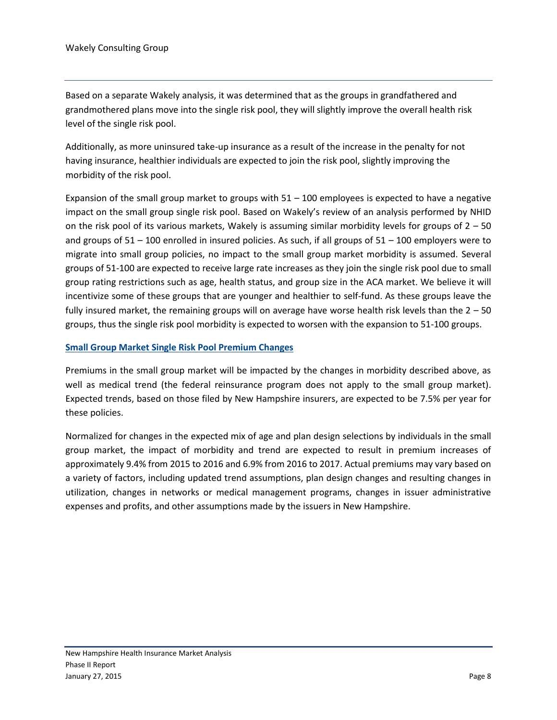Based on a separate Wakely analysis, it was determined that as the groups in grandfathered and grandmothered plans move into the single risk pool, they will slightly improve the overall health risk level of the single risk pool.

Additionally, as more uninsured take-up insurance as a result of the increase in the penalty for not having insurance, healthier individuals are expected to join the risk pool, slightly improving the morbidity of the risk pool.

Expansion of the small group market to groups with  $51 - 100$  employees is expected to have a negative impact on the small group single risk pool. Based on Wakely's review of an analysis performed by NHID on the risk pool of its various markets, Wakely is assuming similar morbidity levels for groups of  $2 - 50$ and groups of  $51 - 100$  enrolled in insured policies. As such, if all groups of  $51 - 100$  employers were to migrate into small group policies, no impact to the small group market morbidity is assumed. Several groups of 51-100 are expected to receive large rate increases as they join the single risk pool due to small group rating restrictions such as age, health status, and group size in the ACA market. We believe it will incentivize some of these groups that are younger and healthier to self-fund. As these groups leave the fully insured market, the remaining groups will on average have worse health risk levels than the 2 – 50 groups, thus the single risk pool morbidity is expected to worsen with the expansion to 51-100 groups.

#### **Small Group Market Single Risk Pool Premium Changes**

Premiums in the small group market will be impacted by the changes in morbidity described above, as well as medical trend (the federal reinsurance program does not apply to the small group market). Expected trends, based on those filed by New Hampshire insurers, are expected to be 7.5% per year for these policies.

Normalized for changes in the expected mix of age and plan design selections by individuals in the small group market, the impact of morbidity and trend are expected to result in premium increases of approximately 9.4% from 2015 to 2016 and 6.9% from 2016 to 2017. Actual premiums may vary based on a variety of factors, including updated trend assumptions, plan design changes and resulting changes in utilization, changes in networks or medical management programs, changes in issuer administrative expenses and profits, and other assumptions made by the issuers in New Hampshire.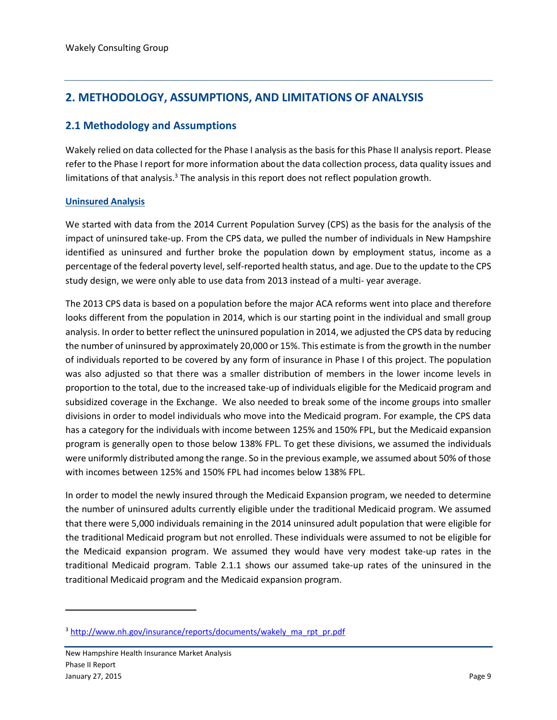#### <span id="page-10-0"></span>**2. METHODOLOGY, ASSUMPTIONS, AND LIMITATIONS OF ANALYSIS**

#### <span id="page-10-1"></span>**2.1 Methodology and Assumptions**

Wakely relied on data collected for the Phase I analysis as the basis for this Phase II analysis report. Please refer to the Phase I report for more information about the data collection process, data quality issues and limitations of that analysis.<sup>3</sup> The analysis in this report does not reflect population growth.

#### **Uninsured Analysis**

We started with data from the 2014 Current Population Survey (CPS) as the basis for the analysis of the impact of uninsured take-up. From the CPS data, we pulled the number of individuals in New Hampshire identified as uninsured and further broke the population down by employment status, income as a percentage of the federal poverty level, self-reported health status, and age. Due to the update to the CPS study design, we were only able to use data from 2013 instead of a multi- year average.

The 2013 CPS data is based on a population before the major ACA reforms went into place and therefore looks different from the population in 2014, which is our starting point in the individual and small group analysis. In order to better reflect the uninsured population in 2014, we adjusted the CPS data by reducing the number of uninsured by approximately 20,000 or 15%. This estimate is from the growth in the number of individuals reported to be covered by any form of insurance in Phase I of this project. The population was also adjusted so that there was a smaller distribution of members in the lower income levels in proportion to the total, due to the increased take-up of individuals eligible for the Medicaid program and subsidized coverage in the Exchange. We also needed to break some of the income groups into smaller divisions in order to model individuals who move into the Medicaid program. For example, the CPS data has a category for the individuals with income between 125% and 150% FPL, but the Medicaid expansion program is generally open to those below 138% FPL. To get these divisions, we assumed the individuals were uniformly distributed among the range. So in the previous example, we assumed about 50% of those with incomes between 125% and 150% FPL had incomes below 138% FPL.

In order to model the newly insured through the Medicaid Expansion program, we needed to determine the number of uninsured adults currently eligible under the traditional Medicaid program. We assumed that there were 5,000 individuals remaining in the 2014 uninsured adult population that were eligible for the traditional Medicaid program but not enrolled. These individuals were assumed to not be eligible for the Medicaid expansion program. We assumed they would have very modest take-up rates in the traditional Medicaid program. Table 2.1.1 shows our assumed take-up rates of the uninsured in the traditional Medicaid program and the Medicaid expansion program.

 $\overline{a}$ 

<sup>&</sup>lt;sup>3</sup> [http://www.nh.gov/insurance/reports/documents/wakely\\_ma\\_rpt\\_pr.pdf](http://www.nh.gov/insurance/reports/documents/wakely_ma_rpt_pr.pdf)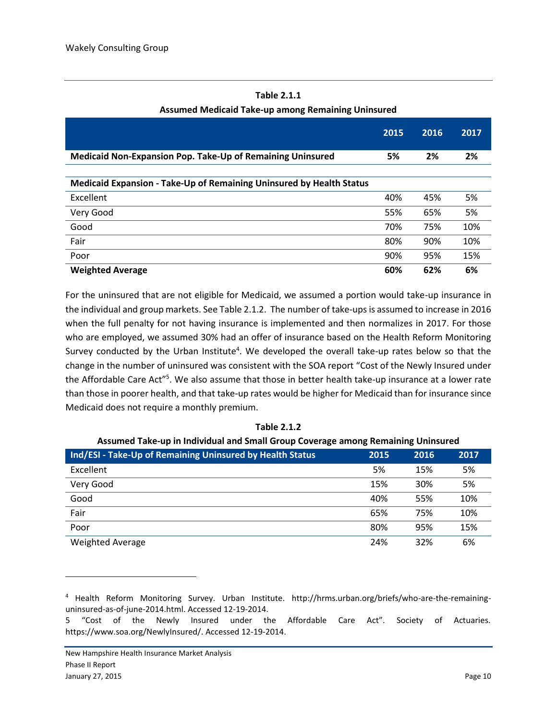|                                                                      | 2015 | 2016 | 2017 |
|----------------------------------------------------------------------|------|------|------|
| Medicaid Non-Expansion Pop. Take-Up of Remaining Uninsured           | 5%   | 2%   | 2%   |
| Medicaid Expansion - Take-Up of Remaining Uninsured by Health Status |      |      |      |
| Excellent                                                            | 40%  | 45%  | 5%   |
| Very Good                                                            | 55%  | 65%  | 5%   |
| Good                                                                 | 70%  | 75%  | 10%  |
| Fair                                                                 | 80%  | 90%  | 10%  |
| Poor                                                                 | 90%  | 95%  | 15%  |
| <b>Weighted Average</b>                                              | 60%  | 62%  | 6%   |

#### **Table 2.1.1 Assumed Medicaid Take-up among Remaining Uninsured**

For the uninsured that are not eligible for Medicaid, we assumed a portion would take-up insurance in the individual and group markets. See Table 2.1.2. The number of take-ups is assumed to increase in 2016 when the full penalty for not having insurance is implemented and then normalizes in 2017. For those who are employed, we assumed 30% had an offer of insurance based on the Health Reform Monitoring Survey conducted by the Urban Institute<sup>4</sup>. We developed the overall take-up rates below so that the change in the number of uninsured was consistent with the SOA report "Cost of the Newly Insured under the Affordable Care Act"<sup>5</sup>. We also assume that those in better health take-up insurance at a lower rate than those in poorer health, and that take-up rates would be higher for Medicaid than for insurance since Medicaid does not require a monthly premium.

| Assumed Take-up in Individual and Small Group Coverage among Remaining Uninsured |      |      |      |  |  |
|----------------------------------------------------------------------------------|------|------|------|--|--|
| Ind/ESI - Take-Up of Remaining Uninsured by Health Status                        | 2015 | 2016 | 2017 |  |  |
| Excellent                                                                        | 5%   | 15%  | 5%   |  |  |
| Very Good                                                                        | 15%  | 30%  | 5%   |  |  |
| Good                                                                             | 40%  | 55%  | 10%  |  |  |
| Fair                                                                             | 65%  | 75%  | 10%  |  |  |
| Poor                                                                             | 80%  | 95%  | 15%  |  |  |
| <b>Weighted Average</b>                                                          | 24%  | 32%  | 6%   |  |  |

#### **Assumed Take-up in Individual and Small Group Coverage among Remaining Uninsured**

 $\overline{\phantom{a}}$ 

<sup>4</sup> Health Reform Monitoring Survey. Urban Institute. [http://hrms.urban.org/briefs/who-are-the-remaining](http://hrms.urban.org/briefs/who-are-the-remaining-uninsured-as-of-june-2014.html)[uninsured-as-of-june-2014.html.](http://hrms.urban.org/briefs/who-are-the-remaining-uninsured-as-of-june-2014.html) Accessed 12-19-2014.

<sup>5</sup> "Cost of the Newly Insured under the Affordable Care Act". Society of Actuaries. [https://www.soa.org/NewlyInsured/.](https://www.soa.org/NewlyInsured/) Accessed 12-19-2014.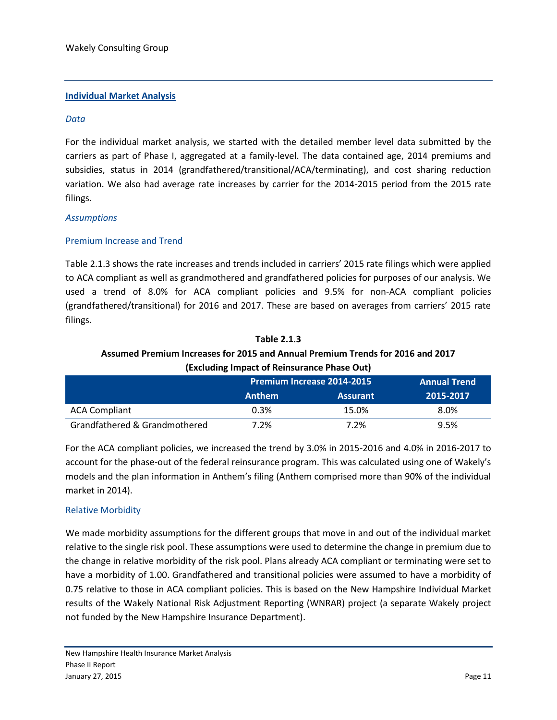#### **Individual Market Analysis**

#### *Data*

For the individual market analysis, we started with the detailed member level data submitted by the carriers as part of Phase I, aggregated at a family-level. The data contained age, 2014 premiums and subsidies, status in 2014 (grandfathered/transitional/ACA/terminating), and cost sharing reduction variation. We also had average rate increases by carrier for the 2014-2015 period from the 2015 rate filings.

#### *Assumptions*

#### Premium Increase and Trend

Table 2.1.3 shows the rate increases and trends included in carriers' 2015 rate filings which were applied to ACA compliant as well as grandmothered and grandfathered policies for purposes of our analysis. We used a trend of 8.0% for ACA compliant policies and 9.5% for non-ACA compliant policies (grandfathered/transitional) for 2016 and 2017. These are based on averages from carriers' 2015 rate filings.

#### **Table 2.1.3 Assumed Premium Increases for 2015 and Annual Premium Trends for 2016 and 2017 (Excluding Impact of Reinsurance Phase Out)**

|                               | Premium Increase 2014-2015 |                 | <b>Annual Trend</b> |
|-------------------------------|----------------------------|-----------------|---------------------|
|                               | <b>Anthem</b>              | <b>Assurant</b> | 2015-2017           |
| <b>ACA Compliant</b>          | 0.3%                       | 15.0%           | 8.0%                |
| Grandfathered & Grandmothered | 7.2%                       | 7.2%            | 9.5%                |

For the ACA compliant policies, we increased the trend by 3.0% in 2015-2016 and 4.0% in 2016-2017 to account for the phase-out of the federal reinsurance program. This was calculated using one of Wakely's models and the plan information in Anthem's filing (Anthem comprised more than 90% of the individual market in 2014).

#### Relative Morbidity

We made morbidity assumptions for the different groups that move in and out of the individual market relative to the single risk pool. These assumptions were used to determine the change in premium due to the change in relative morbidity of the risk pool. Plans already ACA compliant or terminating were set to have a morbidity of 1.00. Grandfathered and transitional policies were assumed to have a morbidity of 0.75 relative to those in ACA compliant policies. This is based on the New Hampshire Individual Market results of the Wakely National Risk Adjustment Reporting (WNRAR) project (a separate Wakely project not funded by the New Hampshire Insurance Department).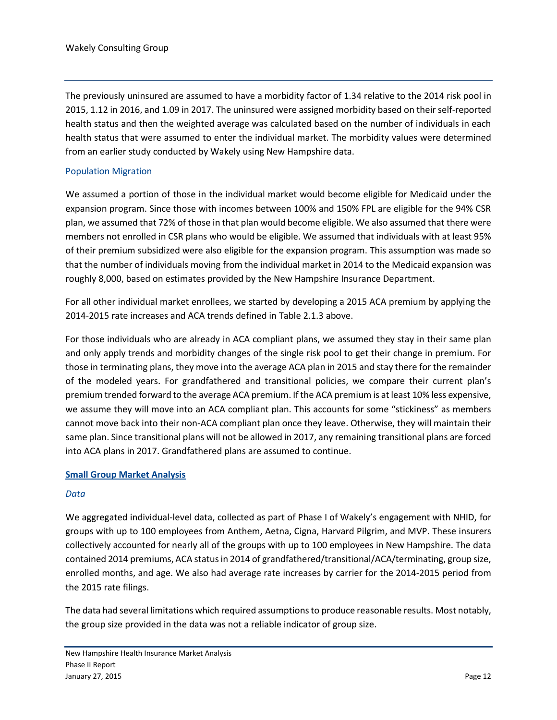The previously uninsured are assumed to have a morbidity factor of 1.34 relative to the 2014 risk pool in 2015, 1.12 in 2016, and 1.09 in 2017. The uninsured were assigned morbidity based on their self-reported health status and then the weighted average was calculated based on the number of individuals in each health status that were assumed to enter the individual market. The morbidity values were determined from an earlier study conducted by Wakely using New Hampshire data.

#### Population Migration

We assumed a portion of those in the individual market would become eligible for Medicaid under the expansion program. Since those with incomes between 100% and 150% FPL are eligible for the 94% CSR plan, we assumed that 72% of those in that plan would become eligible. We also assumed that there were members not enrolled in CSR plans who would be eligible. We assumed that individuals with at least 95% of their premium subsidized were also eligible for the expansion program. This assumption was made so that the number of individuals moving from the individual market in 2014 to the Medicaid expansion was roughly 8,000, based on estimates provided by the New Hampshire Insurance Department.

For all other individual market enrollees, we started by developing a 2015 ACA premium by applying the 2014-2015 rate increases and ACA trends defined in Table 2.1.3 above.

For those individuals who are already in ACA compliant plans, we assumed they stay in their same plan and only apply trends and morbidity changes of the single risk pool to get their change in premium. For those in terminating plans, they move into the average ACA plan in 2015 and stay there for the remainder of the modeled years. For grandfathered and transitional policies, we compare their current plan's premium trended forward to the average ACA premium. If the ACA premium is at least 10% less expensive, we assume they will move into an ACA compliant plan. This accounts for some "stickiness" as members cannot move back into their non-ACA compliant plan once they leave. Otherwise, they will maintain their same plan. Since transitional plans will not be allowed in 2017, any remaining transitional plans are forced into ACA plans in 2017. Grandfathered plans are assumed to continue.

#### **Small Group Market Analysis**

#### *Data*

We aggregated individual-level data, collected as part of Phase I of Wakely's engagement with NHID, for groups with up to 100 employees from Anthem, Aetna, Cigna, Harvard Pilgrim, and MVP. These insurers collectively accounted for nearly all of the groups with up to 100 employees in New Hampshire. The data contained 2014 premiums, ACA status in 2014 of grandfathered/transitional/ACA/terminating, group size, enrolled months, and age. We also had average rate increases by carrier for the 2014-2015 period from the 2015 rate filings.

The data had several limitations which required assumptions to produce reasonable results. Most notably, the group size provided in the data was not a reliable indicator of group size.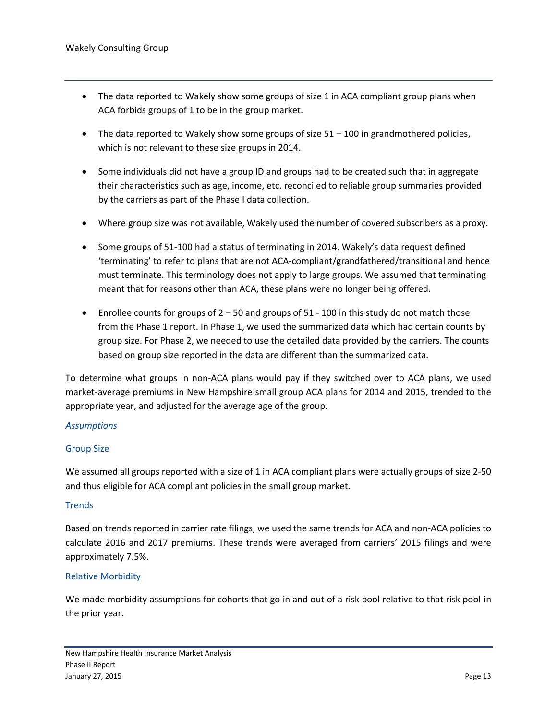- The data reported to Wakely show some groups of size 1 in ACA compliant group plans when ACA forbids groups of 1 to be in the group market.
- The data reported to Wakely show some groups of size  $51 100$  in grandmothered policies, which is not relevant to these size groups in 2014.
- Some individuals did not have a group ID and groups had to be created such that in aggregate their characteristics such as age, income, etc. reconciled to reliable group summaries provided by the carriers as part of the Phase I data collection.
- Where group size was not available, Wakely used the number of covered subscribers as a proxy.
- Some groups of 51-100 had a status of terminating in 2014. Wakely's data request defined 'terminating' to refer to plans that are not ACA-compliant/grandfathered/transitional and hence must terminate. This terminology does not apply to large groups. We assumed that terminating meant that for reasons other than ACA, these plans were no longer being offered.
- **•** Enrollee counts for groups of  $2 50$  and groups of  $51 100$  in this study do not match those from the Phase 1 report. In Phase 1, we used the summarized data which had certain counts by group size. For Phase 2, we needed to use the detailed data provided by the carriers. The counts based on group size reported in the data are different than the summarized data.

To determine what groups in non-ACA plans would pay if they switched over to ACA plans, we used market-average premiums in New Hampshire small group ACA plans for 2014 and 2015, trended to the appropriate year, and adjusted for the average age of the group.

#### *Assumptions*

#### Group Size

We assumed all groups reported with a size of 1 in ACA compliant plans were actually groups of size 2-50 and thus eligible for ACA compliant policies in the small group market.

#### **Trends**

Based on trends reported in carrier rate filings, we used the same trends for ACA and non-ACA policies to calculate 2016 and 2017 premiums. These trends were averaged from carriers' 2015 filings and were approximately 7.5%.

#### Relative Morbidity

We made morbidity assumptions for cohorts that go in and out of a risk pool relative to that risk pool in the prior year.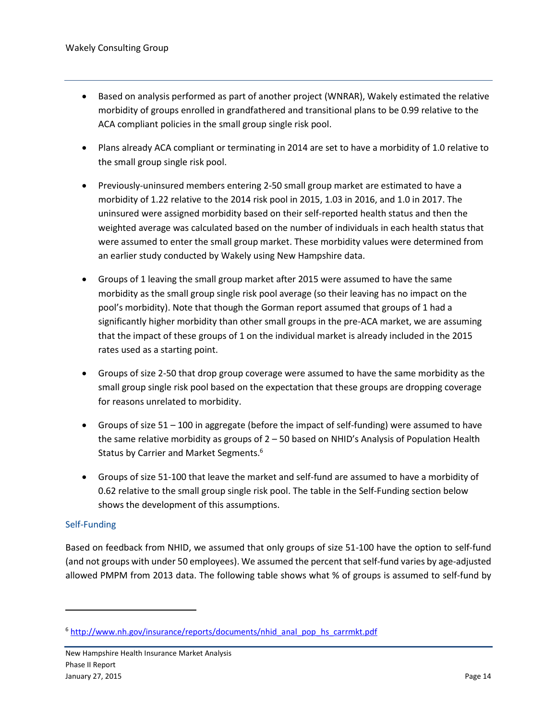- Based on analysis performed as part of another project (WNRAR), Wakely estimated the relative morbidity of groups enrolled in grandfathered and transitional plans to be 0.99 relative to the ACA compliant policies in the small group single risk pool.
- Plans already ACA compliant or terminating in 2014 are set to have a morbidity of 1.0 relative to the small group single risk pool.
- Previously-uninsured members entering 2-50 small group market are estimated to have a morbidity of 1.22 relative to the 2014 risk pool in 2015, 1.03 in 2016, and 1.0 in 2017. The uninsured were assigned morbidity based on their self-reported health status and then the weighted average was calculated based on the number of individuals in each health status that were assumed to enter the small group market. These morbidity values were determined from an earlier study conducted by Wakely using New Hampshire data.
- Groups of 1 leaving the small group market after 2015 were assumed to have the same morbidity as the small group single risk pool average (so their leaving has no impact on the pool's morbidity). Note that though the Gorman report assumed that groups of 1 had a significantly higher morbidity than other small groups in the pre-ACA market, we are assuming that the impact of these groups of 1 on the individual market is already included in the 2015 rates used as a starting point.
- Groups of size 2-50 that drop group coverage were assumed to have the same morbidity as the small group single risk pool based on the expectation that these groups are dropping coverage for reasons unrelated to morbidity.
- Groups of size 51 100 in aggregate (before the impact of self-funding) were assumed to have the same relative morbidity as groups of 2 – 50 based on NHID's Analysis of Population Health Status by Carrier and Market Segments.<sup>6</sup>
- Groups of size 51-100 that leave the market and self-fund are assumed to have a morbidity of 0.62 relative to the small group single risk pool. The table in the Self-Funding section below shows the development of this assumptions.

#### Self-Funding

 $\overline{a}$ 

Based on feedback from NHID, we assumed that only groups of size 51-100 have the option to self-fund (and not groups with under 50 employees). We assumed the percent that self-fund varies by age-adjusted allowed PMPM from 2013 data. The following table shows what % of groups is assumed to self-fund by

<sup>&</sup>lt;sup>6</sup> [http://www.nh.gov/insurance/reports/documents/nhid\\_anal\\_pop\\_hs\\_carrmkt.pdf](http://www.nh.gov/insurance/reports/documents/nhid_anal_pop_hs_carrmkt.pdf)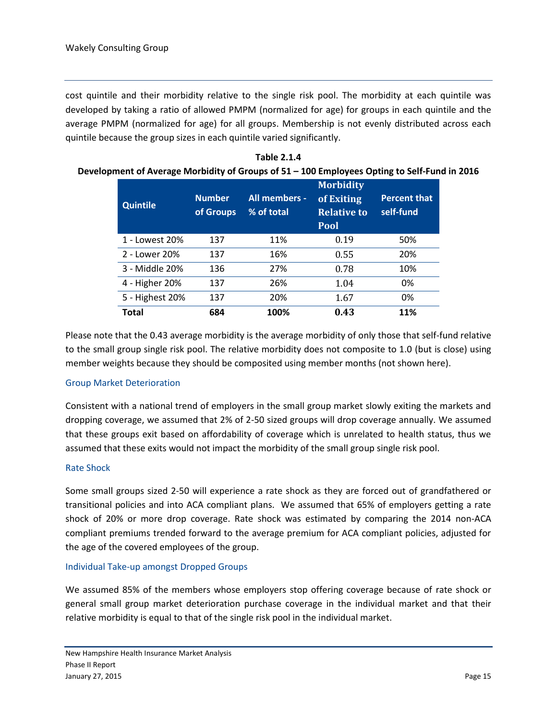cost quintile and their morbidity relative to the single risk pool. The morbidity at each quintile was developed by taking a ratio of allowed PMPM (normalized for age) for groups in each quintile and the average PMPM (normalized for age) for all groups. Membership is not evenly distributed across each quintile because the group sizes in each quintile varied significantly.

| ophielit of Average Morbigity or Groups or 31 – 100 Employees Opting to Sen-Fund |                            |                             |                                                                     |                                  |
|----------------------------------------------------------------------------------|----------------------------|-----------------------------|---------------------------------------------------------------------|----------------------------------|
| <b>Quintile</b>                                                                  | <b>Number</b><br>of Groups | All members -<br>% of total | <b>Morbidity</b><br>of Exiting<br><b>Relative to</b><br><b>Pool</b> | <b>Percent that</b><br>self-fund |
| 1 - Lowest 20%                                                                   | 137                        | 11%                         | 0.19                                                                | 50%                              |
| 2 - Lower 20%                                                                    | 137                        | 16%                         | 0.55                                                                | 20%                              |
| 3 - Middle 20%                                                                   | 136                        | 27%                         | 0.78                                                                | 10%                              |
| 4 - Higher 20%                                                                   | 137                        | 26%                         | 1.04                                                                | 0%                               |
| 5 - Highest 20%                                                                  | 137                        | 20%                         | 1.67                                                                | 0%                               |
| <b>Total</b>                                                                     | 684                        | 100%                        | 0.43                                                                | 11%                              |

**Table 2.1.4 Development of Average Morbidity of Groups of 51 – 100 Employees Opting to Self-Fund in 2016**

Please note that the 0.43 average morbidity is the average morbidity of only those that self-fund relative to the small group single risk pool. The relative morbidity does not composite to 1.0 (but is close) using member weights because they should be composited using member months (not shown here).

#### Group Market Deterioration

Consistent with a national trend of employers in the small group market slowly exiting the markets and dropping coverage, we assumed that 2% of 2-50 sized groups will drop coverage annually. We assumed that these groups exit based on affordability of coverage which is unrelated to health status, thus we assumed that these exits would not impact the morbidity of the small group single risk pool.

#### Rate Shock

Some small groups sized 2-50 will experience a rate shock as they are forced out of grandfathered or transitional policies and into ACA compliant plans. We assumed that 65% of employers getting a rate shock of 20% or more drop coverage. Rate shock was estimated by comparing the 2014 non-ACA compliant premiums trended forward to the average premium for ACA compliant policies, adjusted for the age of the covered employees of the group.

#### Individual Take-up amongst Dropped Groups

We assumed 85% of the members whose employers stop offering coverage because of rate shock or general small group market deterioration purchase coverage in the individual market and that their relative morbidity is equal to that of the single risk pool in the individual market.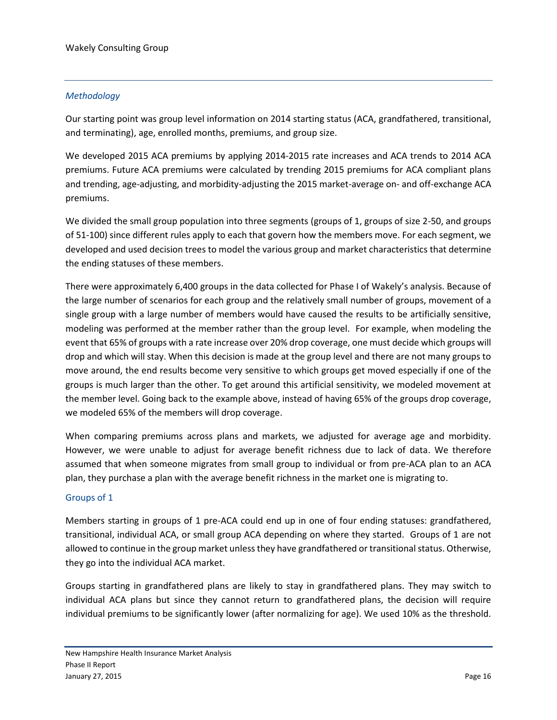#### *Methodology*

Our starting point was group level information on 2014 starting status (ACA, grandfathered, transitional, and terminating), age, enrolled months, premiums, and group size.

We developed 2015 ACA premiums by applying 2014-2015 rate increases and ACA trends to 2014 ACA premiums. Future ACA premiums were calculated by trending 2015 premiums for ACA compliant plans and trending, age-adjusting, and morbidity-adjusting the 2015 market-average on- and off-exchange ACA premiums.

We divided the small group population into three segments (groups of 1, groups of size 2-50, and groups of 51-100) since different rules apply to each that govern how the members move. For each segment, we developed and used decision trees to model the various group and market characteristics that determine the ending statuses of these members.

There were approximately 6,400 groups in the data collected for Phase I of Wakely's analysis. Because of the large number of scenarios for each group and the relatively small number of groups, movement of a single group with a large number of members would have caused the results to be artificially sensitive, modeling was performed at the member rather than the group level. For example, when modeling the event that 65% of groups with a rate increase over 20% drop coverage, one must decide which groups will drop and which will stay. When this decision is made at the group level and there are not many groups to move around, the end results become very sensitive to which groups get moved especially if one of the groups is much larger than the other. To get around this artificial sensitivity, we modeled movement at the member level. Going back to the example above, instead of having 65% of the groups drop coverage, we modeled 65% of the members will drop coverage.

When comparing premiums across plans and markets, we adjusted for average age and morbidity. However, we were unable to adjust for average benefit richness due to lack of data. We therefore assumed that when someone migrates from small group to individual or from pre-ACA plan to an ACA plan, they purchase a plan with the average benefit richness in the market one is migrating to.

#### Groups of 1

Members starting in groups of 1 pre-ACA could end up in one of four ending statuses: grandfathered, transitional, individual ACA, or small group ACA depending on where they started. Groups of 1 are not allowed to continue in the group market unless they have grandfathered or transitional status. Otherwise, they go into the individual ACA market.

Groups starting in grandfathered plans are likely to stay in grandfathered plans. They may switch to individual ACA plans but since they cannot return to grandfathered plans, the decision will require individual premiums to be significantly lower (after normalizing for age). We used 10% as the threshold.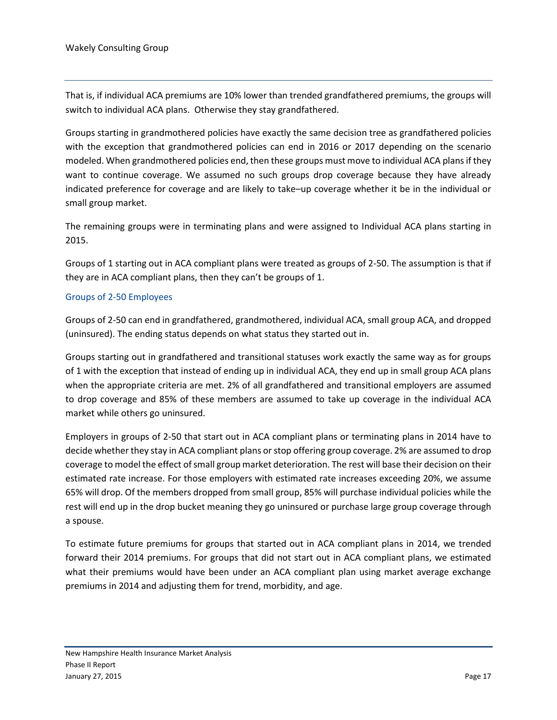That is, if individual ACA premiums are 10% lower than trended grandfathered premiums, the groups will switch to individual ACA plans. Otherwise they stay grandfathered.

Groups starting in grandmothered policies have exactly the same decision tree as grandfathered policies with the exception that grandmothered policies can end in 2016 or 2017 depending on the scenario modeled. When grandmothered policies end, then these groups must move to individual ACA plans if they want to continue coverage. We assumed no such groups drop coverage because they have already indicated preference for coverage and are likely to take–up coverage whether it be in the individual or small group market.

The remaining groups were in terminating plans and were assigned to Individual ACA plans starting in 2015.

Groups of 1 starting out in ACA compliant plans were treated as groups of 2-50. The assumption is that if they are in ACA compliant plans, then they can't be groups of 1.

#### Groups of 2-50 Employees

Groups of 2-50 can end in grandfathered, grandmothered, individual ACA, small group ACA, and dropped (uninsured). The ending status depends on what status they started out in.

Groups starting out in grandfathered and transitional statuses work exactly the same way as for groups of 1 with the exception that instead of ending up in individual ACA, they end up in small group ACA plans when the appropriate criteria are met. 2% of all grandfathered and transitional employers are assumed to drop coverage and 85% of these members are assumed to take up coverage in the individual ACA market while others go uninsured.

Employers in groups of 2-50 that start out in ACA compliant plans or terminating plans in 2014 have to decide whether they stay in ACA compliant plans or stop offering group coverage. 2% are assumed to drop coverage to model the effect of small group market deterioration. The rest will base their decision on their estimated rate increase. For those employers with estimated rate increases exceeding 20%, we assume 65% will drop. Of the members dropped from small group, 85% will purchase individual policies while the rest will end up in the drop bucket meaning they go uninsured or purchase large group coverage through a spouse.

To estimate future premiums for groups that started out in ACA compliant plans in 2014, we trended forward their 2014 premiums. For groups that did not start out in ACA compliant plans, we estimated what their premiums would have been under an ACA compliant plan using market average exchange premiums in 2014 and adjusting them for trend, morbidity, and age.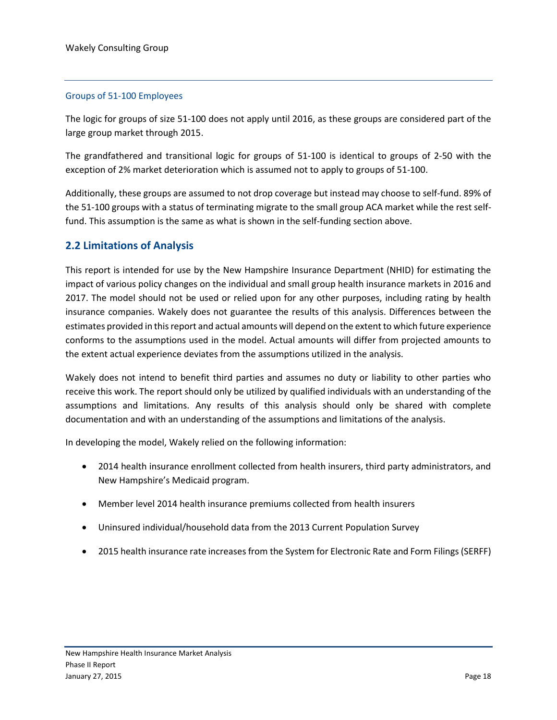#### Groups of 51-100 Employees

The logic for groups of size 51-100 does not apply until 2016, as these groups are considered part of the large group market through 2015.

The grandfathered and transitional logic for groups of 51-100 is identical to groups of 2-50 with the exception of 2% market deterioration which is assumed not to apply to groups of 51-100.

Additionally, these groups are assumed to not drop coverage but instead may choose to self-fund. 89% of the 51-100 groups with a status of terminating migrate to the small group ACA market while the rest selffund. This assumption is the same as what is shown in the self-funding section above.

#### <span id="page-19-0"></span>**2.2 Limitations of Analysis**

This report is intended for use by the New Hampshire Insurance Department (NHID) for estimating the impact of various policy changes on the individual and small group health insurance markets in 2016 and 2017. The model should not be used or relied upon for any other purposes, including rating by health insurance companies. Wakely does not guarantee the results of this analysis. Differences between the estimates provided in this report and actual amounts will depend on the extent to which future experience conforms to the assumptions used in the model. Actual amounts will differ from projected amounts to the extent actual experience deviates from the assumptions utilized in the analysis.

Wakely does not intend to benefit third parties and assumes no duty or liability to other parties who receive this work. The report should only be utilized by qualified individuals with an understanding of the assumptions and limitations. Any results of this analysis should only be shared with complete documentation and with an understanding of the assumptions and limitations of the analysis.

In developing the model, Wakely relied on the following information:

- 2014 health insurance enrollment collected from health insurers, third party administrators, and New Hampshire's Medicaid program.
- Member level 2014 health insurance premiums collected from health insurers
- Uninsured individual/household data from the 2013 Current Population Survey
- 2015 health insurance rate increases from the System for Electronic Rate and Form Filings (SERFF)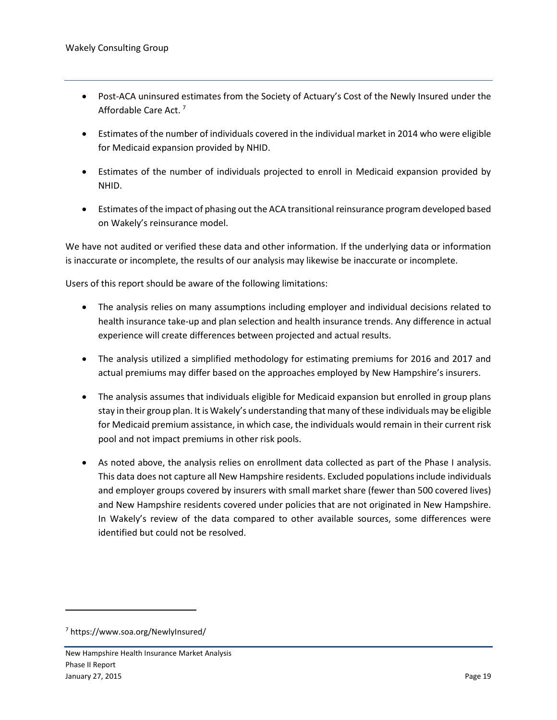- Post-ACA uninsured estimates from the Society of Actuary's Cost of the Newly Insured under the Affordable Care Act. <sup>7</sup>
- Estimates of the number of individuals covered in the individual market in 2014 who were eligible for Medicaid expansion provided by NHID.
- Estimates of the number of individuals projected to enroll in Medicaid expansion provided by NHID.
- Estimates of the impact of phasing out the ACA transitional reinsurance program developed based on Wakely's reinsurance model.

We have not audited or verified these data and other information. If the underlying data or information is inaccurate or incomplete, the results of our analysis may likewise be inaccurate or incomplete.

Users of this report should be aware of the following limitations:

- The analysis relies on many assumptions including employer and individual decisions related to health insurance take-up and plan selection and health insurance trends. Any difference in actual experience will create differences between projected and actual results.
- The analysis utilized a simplified methodology for estimating premiums for 2016 and 2017 and actual premiums may differ based on the approaches employed by New Hampshire's insurers.
- The analysis assumes that individuals eligible for Medicaid expansion but enrolled in group plans stay in their group plan. It is Wakely's understanding that many of these individuals may be eligible for Medicaid premium assistance, in which case, the individuals would remain in their current risk pool and not impact premiums in other risk pools.
- As noted above, the analysis relies on enrollment data collected as part of the Phase I analysis. This data does not capture all New Hampshire residents. Excluded populations include individuals and employer groups covered by insurers with small market share (fewer than 500 covered lives) and New Hampshire residents covered under policies that are not originated in New Hampshire. In Wakely's review of the data compared to other available sources, some differences were identified but could not be resolved.

 $\overline{a}$ 

<sup>7</sup> https://www.soa.org/NewlyInsured/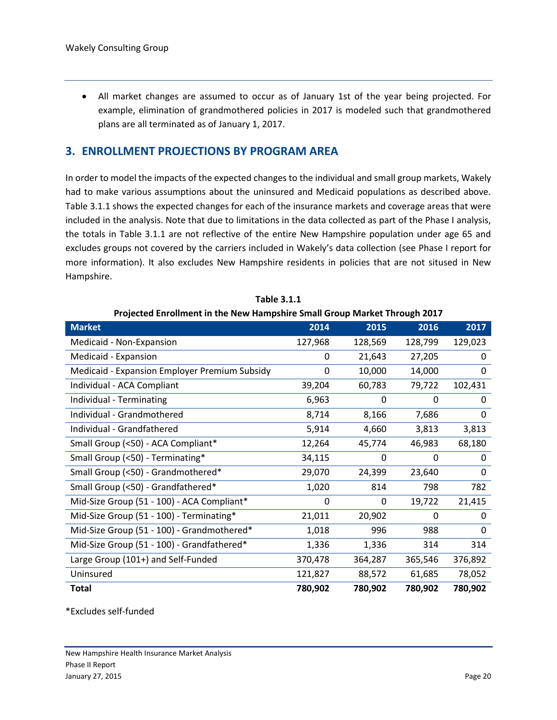All market changes are assumed to occur as of January 1st of the year being projected. For example, elimination of grandmothered policies in 2017 is modeled such that grandmothered plans are all terminated as of January 1, 2017.

#### <span id="page-21-0"></span>**3. ENROLLMENT PROJECTIONS BY PROGRAM AREA**

In order to model the impacts of the expected changes to the individual and small group markets, Wakely had to make various assumptions about the uninsured and Medicaid populations as described above. Table 3.1.1 shows the expected changes for each of the insurance markets and coverage areas that were included in the analysis. Note that due to limitations in the data collected as part of the Phase I analysis, the totals in Table 3.1.1 are not reflective of the entire New Hampshire population under age 65 and excludes groups not covered by the carriers included in Wakely's data collection (see Phase I report for more information). It also excludes New Hampshire residents in policies that are not sitused in New Hampshire.

| Projected Emonifient in the New Hampshire Sinah Group Market Through 2017 |          |          |          |         |  |
|---------------------------------------------------------------------------|----------|----------|----------|---------|--|
| <b>Market</b>                                                             | 2014     | 2015     | 2016     | 2017    |  |
| Medicaid - Non-Expansion                                                  | 127,968  | 128,569  | 128,799  | 129,023 |  |
| Medicaid - Expansion                                                      | 0        | 21,643   | 27,205   | 0       |  |
| <b>Medicaid - Expansion Employer Premium Subsidy</b>                      | $\Omega$ | 10,000   | 14,000   | 0       |  |
| Individual - ACA Compliant                                                | 39,204   | 60,783   | 79,722   | 102,431 |  |
| Individual - Terminating                                                  | 6,963    | $\Omega$ | $\Omega$ | 0       |  |
| Individual - Grandmothered                                                | 8,714    | 8,166    | 7,686    | 0       |  |
| Individual - Grandfathered                                                | 5,914    | 4,660    | 3,813    | 3,813   |  |
| Small Group (<50) - ACA Compliant*                                        | 12,264   | 45,774   | 46,983   | 68,180  |  |
| Small Group (<50) - Terminating*                                          | 34,115   | 0        | 0        | 0       |  |
| Small Group (<50) - Grandmothered*                                        | 29,070   | 24,399   | 23,640   | 0       |  |
| Small Group (<50) - Grandfathered*                                        | 1,020    | 814      | 798      | 782     |  |
| Mid-Size Group (51 - 100) - ACA Compliant*                                | $\Omega$ | 0        | 19,722   | 21,415  |  |
| Mid-Size Group (51 - 100) - Terminating*                                  | 21,011   | 20,902   | 0        | 0       |  |
| Mid-Size Group (51 - 100) - Grandmothered*                                | 1,018    | 996      | 988      | 0       |  |
| Mid-Size Group (51 - 100) - Grandfathered*                                | 1,336    | 1,336    | 314      | 314     |  |
| Large Group (101+) and Self-Funded                                        | 370,478  | 364,287  | 365,546  | 376,892 |  |
| Uninsured                                                                 | 121,827  | 88,572   | 61,685   | 78,052  |  |
| Total                                                                     | 780,902  | 780,902  | 780,902  | 780,902 |  |

**Table 3.1.1**

#### **Projected Enrollment in the New Hampshire Small Group Market Through 2017**

\*Excludes self-funded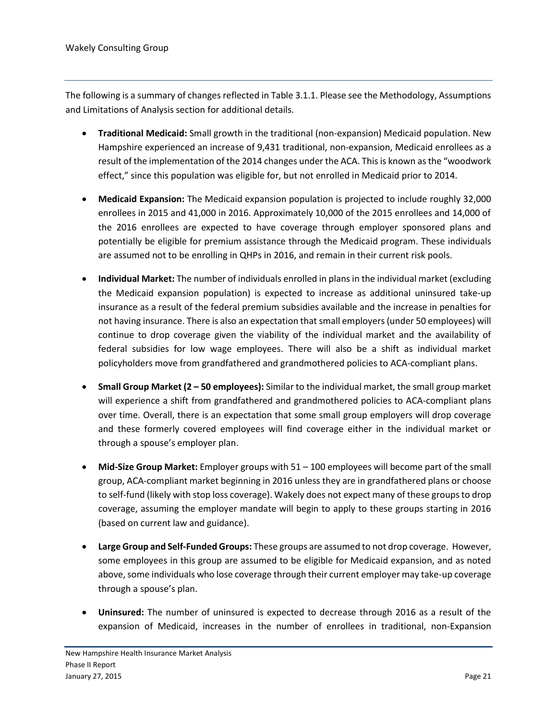The following is a summary of changes reflected in Table 3.1.1. Please see the Methodology, Assumptions and Limitations of Analysis section for additional details.

- **Traditional Medicaid:** Small growth in the traditional (non-expansion) Medicaid population. New Hampshire experienced an increase of 9,431 traditional, non-expansion, Medicaid enrollees as a result of the implementation of the 2014 changes under the ACA. This is known as the "woodwork effect," since this population was eligible for, but not enrolled in Medicaid prior to 2014.
- **Medicaid Expansion:** The Medicaid expansion population is projected to include roughly 32,000 enrollees in 2015 and 41,000 in 2016. Approximately 10,000 of the 2015 enrollees and 14,000 of the 2016 enrollees are expected to have coverage through employer sponsored plans and potentially be eligible for premium assistance through the Medicaid program. These individuals are assumed not to be enrolling in QHPs in 2016, and remain in their current risk pools.
- **Individual Market:** The number of individuals enrolled in plans in the individual market (excluding the Medicaid expansion population) is expected to increase as additional uninsured take-up insurance as a result of the federal premium subsidies available and the increase in penalties for not having insurance. There is also an expectation that small employers (under 50 employees) will continue to drop coverage given the viability of the individual market and the availability of federal subsidies for low wage employees. There will also be a shift as individual market policyholders move from grandfathered and grandmothered policies to ACA-compliant plans.
- **Small Group Market (2 – 50 employees):** Similar to the individual market, the small group market will experience a shift from grandfathered and grandmothered policies to ACA-compliant plans over time. Overall, there is an expectation that some small group employers will drop coverage and these formerly covered employees will find coverage either in the individual market or through a spouse's employer plan.
- **Mid-Size Group Market:** Employer groups with 51 100 employees will become part of the small group, ACA-compliant market beginning in 2016 unless they are in grandfathered plans or choose to self-fund (likely with stop loss coverage). Wakely does not expect many of these groups to drop coverage, assuming the employer mandate will begin to apply to these groups starting in 2016 (based on current law and guidance).
- **Large Group and Self-Funded Groups:** These groups are assumed to not drop coverage. However, some employees in this group are assumed to be eligible for Medicaid expansion, and as noted above, some individuals who lose coverage through their current employer may take-up coverage through a spouse's plan.
- **Uninsured:** The number of uninsured is expected to decrease through 2016 as a result of the expansion of Medicaid, increases in the number of enrollees in traditional, non-Expansion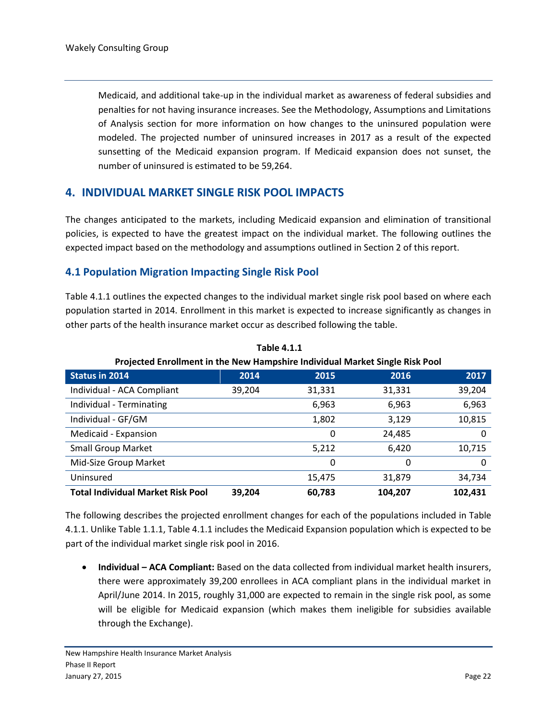Medicaid, and additional take-up in the individual market as awareness of federal subsidies and penalties for not having insurance increases. See the Methodology, Assumptions and Limitations of Analysis section for more information on how changes to the uninsured population were modeled. The projected number of uninsured increases in 2017 as a result of the expected sunsetting of the Medicaid expansion program. If Medicaid expansion does not sunset, the number of uninsured is estimated to be 59,264.

#### <span id="page-23-0"></span>**4. INDIVIDUAL MARKET SINGLE RISK POOL IMPACTS**

The changes anticipated to the markets, including Medicaid expansion and elimination of transitional policies, is expected to have the greatest impact on the individual market. The following outlines the expected impact based on the methodology and assumptions outlined in Section 2 of this report.

#### <span id="page-23-1"></span>**4.1 Population Migration Impacting Single Risk Pool**

Table 4.1.1 outlines the expected changes to the individual market single risk pool based on where each population started in 2014. Enrollment in this market is expected to increase significantly as changes in other parts of the health insurance market occur as described following the table.

|                                          | T TOJCCCCU ENTOINMENT IN THE INCRETION IDITIOSHIP THURWOOD IVIDI KET SINGIC INSK I OOI |        |         |         |  |  |
|------------------------------------------|----------------------------------------------------------------------------------------|--------|---------|---------|--|--|
| <b>Status in 2014</b>                    | 2014                                                                                   | 2015   | 2016    | 2017    |  |  |
| Individual - ACA Compliant               | 39,204                                                                                 | 31,331 | 31,331  | 39,204  |  |  |
| Individual - Terminating                 |                                                                                        | 6,963  | 6,963   | 6,963   |  |  |
| Individual - GF/GM                       |                                                                                        | 1,802  | 3,129   | 10,815  |  |  |
| Medicaid - Expansion                     |                                                                                        | 0      | 24,485  | 0       |  |  |
| <b>Small Group Market</b>                |                                                                                        | 5,212  | 6,420   | 10,715  |  |  |
| Mid-Size Group Market                    |                                                                                        | 0      | 0       | 0       |  |  |
| Uninsured                                |                                                                                        | 15,475 | 31,879  | 34,734  |  |  |
| <b>Total Individual Market Risk Pool</b> | 39,204                                                                                 | 60,783 | 104,207 | 102,431 |  |  |

**Table 4.1.1 Projected Enrollment in the New Hampshire Individual Market Single Risk Pool** 

The following describes the projected enrollment changes for each of the populations included in Table 4.1.1. Unlike Table 1.1.1, Table 4.1.1 includes the Medicaid Expansion population which is expected to be part of the individual market single risk pool in 2016.

 **Individual – ACA Compliant:** Based on the data collected from individual market health insurers, there were approximately 39,200 enrollees in ACA compliant plans in the individual market in April/June 2014. In 2015, roughly 31,000 are expected to remain in the single risk pool, as some will be eligible for Medicaid expansion (which makes them ineligible for subsidies available through the Exchange).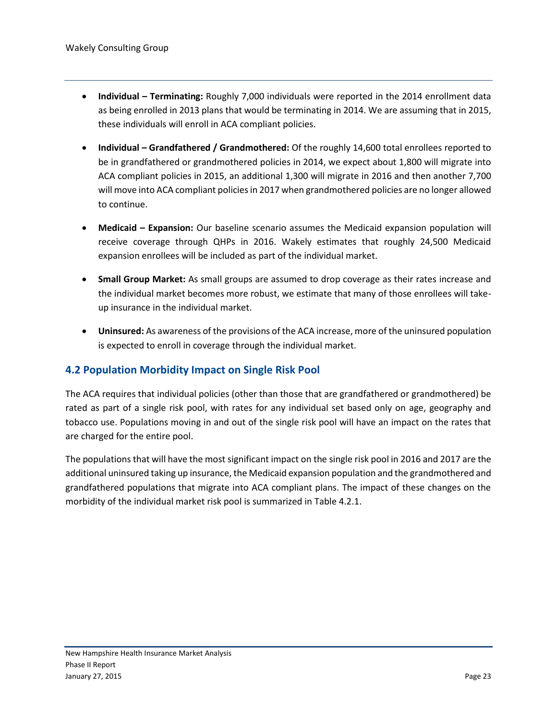- **Individual – Terminating:** Roughly 7,000 individuals were reported in the 2014 enrollment data as being enrolled in 2013 plans that would be terminating in 2014. We are assuming that in 2015, these individuals will enroll in ACA compliant policies.
- **Individual – Grandfathered / Grandmothered:** Of the roughly 14,600 total enrollees reported to be in grandfathered or grandmothered policies in 2014, we expect about 1,800 will migrate into ACA compliant policies in 2015, an additional 1,300 will migrate in 2016 and then another 7,700 will move into ACA compliant policies in 2017 when grandmothered policies are no longer allowed to continue.
- **Medicaid – Expansion:** Our baseline scenario assumes the Medicaid expansion population will receive coverage through QHPs in 2016. Wakely estimates that roughly 24,500 Medicaid expansion enrollees will be included as part of the individual market.
- **Small Group Market:** As small groups are assumed to drop coverage as their rates increase and the individual market becomes more robust, we estimate that many of those enrollees will takeup insurance in the individual market.
- **Uninsured:** As awareness of the provisions of the ACA increase, more of the uninsured population is expected to enroll in coverage through the individual market.

#### <span id="page-24-0"></span>**4.2 Population Morbidity Impact on Single Risk Pool**

The ACA requires that individual policies (other than those that are grandfathered or grandmothered) be rated as part of a single risk pool, with rates for any individual set based only on age, geography and tobacco use. Populations moving in and out of the single risk pool will have an impact on the rates that are charged for the entire pool.

The populations that will have the most significant impact on the single risk pool in 2016 and 2017 are the additional uninsured taking up insurance, the Medicaid expansion population and the grandmothered and grandfathered populations that migrate into ACA compliant plans. The impact of these changes on the morbidity of the individual market risk pool is summarized in Table 4.2.1.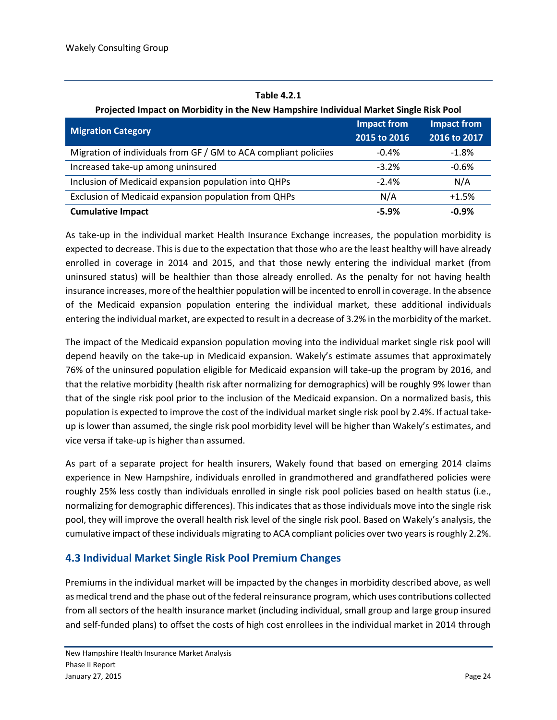| Table 4.2.1 |  |
|-------------|--|
|-------------|--|

| <b>Migration Category</b>                                        | <b>Impact from</b><br>2015 to 2016 | <b>Impact from</b><br>2016 to 2017 |
|------------------------------------------------------------------|------------------------------------|------------------------------------|
| Migration of individuals from GF / GM to ACA compliant policiies | $-0.4%$                            | $-1.8%$                            |
| Increased take-up among uninsured                                | $-3.2%$                            | $-0.6%$                            |
| Inclusion of Medicaid expansion population into QHPs             | $-2.4%$                            | N/A                                |
| Exclusion of Medicaid expansion population from QHPs             | N/A                                | $+1.5%$                            |
| <b>Cumulative Impact</b>                                         | $-5.9%$                            | $-0.9%$                            |

**Projected Impact on Morbidity in the New Hampshire Individual Market Single Risk Pool**

As take-up in the individual market Health Insurance Exchange increases, the population morbidity is expected to decrease. This is due to the expectation that those who are the least healthy will have already enrolled in coverage in 2014 and 2015, and that those newly entering the individual market (from uninsured status) will be healthier than those already enrolled. As the penalty for not having health insurance increases, more of the healthier population will be incented to enroll in coverage. In the absence of the Medicaid expansion population entering the individual market, these additional individuals entering the individual market, are expected to result in a decrease of 3.2% in the morbidity of the market.

The impact of the Medicaid expansion population moving into the individual market single risk pool will depend heavily on the take-up in Medicaid expansion. Wakely's estimate assumes that approximately 76% of the uninsured population eligible for Medicaid expansion will take-up the program by 2016, and that the relative morbidity (health risk after normalizing for demographics) will be roughly 9% lower than that of the single risk pool prior to the inclusion of the Medicaid expansion. On a normalized basis, this population is expected to improve the cost of the individual market single risk pool by 2.4%. If actual takeup is lower than assumed, the single risk pool morbidity level will be higher than Wakely's estimates, and vice versa if take-up is higher than assumed.

As part of a separate project for health insurers, Wakely found that based on emerging 2014 claims experience in New Hampshire, individuals enrolled in grandmothered and grandfathered policies were roughly 25% less costly than individuals enrolled in single risk pool policies based on health status (i.e., normalizing for demographic differences). This indicates that as those individuals move into the single risk pool, they will improve the overall health risk level of the single risk pool. Based on Wakely's analysis, the cumulative impact of these individuals migrating to ACA compliant policies over two years is roughly 2.2%.

#### <span id="page-25-0"></span>**4.3 Individual Market Single Risk Pool Premium Changes**

Premiums in the individual market will be impacted by the changes in morbidity described above, as well as medical trend and the phase out of the federal reinsurance program, which uses contributions collected from all sectors of the health insurance market (including individual, small group and large group insured and self-funded plans) to offset the costs of high cost enrollees in the individual market in 2014 through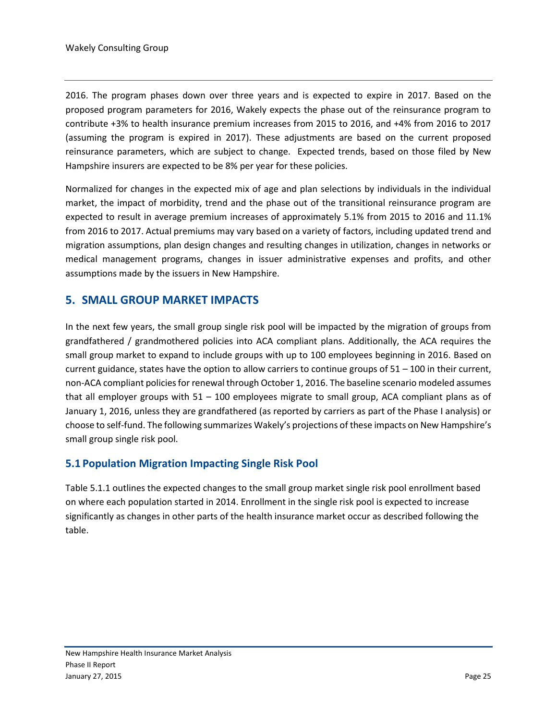2016. The program phases down over three years and is expected to expire in 2017. Based on the proposed program parameters for 2016, Wakely expects the phase out of the reinsurance program to contribute +3% to health insurance premium increases from 2015 to 2016, and +4% from 2016 to 2017 (assuming the program is expired in 2017). These adjustments are based on the current proposed reinsurance parameters, which are subject to change. Expected trends, based on those filed by New Hampshire insurers are expected to be 8% per year for these policies.

Normalized for changes in the expected mix of age and plan selections by individuals in the individual market, the impact of morbidity, trend and the phase out of the transitional reinsurance program are expected to result in average premium increases of approximately 5.1% from 2015 to 2016 and 11.1% from 2016 to 2017. Actual premiums may vary based on a variety of factors, including updated trend and migration assumptions, plan design changes and resulting changes in utilization, changes in networks or medical management programs, changes in issuer administrative expenses and profits, and other assumptions made by the issuers in New Hampshire.

#### <span id="page-26-0"></span>**5. SMALL GROUP MARKET IMPACTS**

In the next few years, the small group single risk pool will be impacted by the migration of groups from grandfathered / grandmothered policies into ACA compliant plans. Additionally, the ACA requires the small group market to expand to include groups with up to 100 employees beginning in 2016. Based on current guidance, states have the option to allow carriers to continue groups of 51 – 100 in their current, non-ACA compliant policies for renewal through October 1, 2016. The baseline scenario modeled assumes that all employer groups with 51 – 100 employees migrate to small group, ACA compliant plans as of January 1, 2016, unless they are grandfathered (as reported by carriers as part of the Phase I analysis) or choose to self-fund. The following summarizes Wakely's projections of these impacts on New Hampshire's small group single risk pool.

#### <span id="page-26-1"></span>**5.1 Population Migration Impacting Single Risk Pool**

Table 5.1.1 outlines the expected changes to the small group market single risk pool enrollment based on where each population started in 2014. Enrollment in the single risk pool is expected to increase significantly as changes in other parts of the health insurance market occur as described following the table.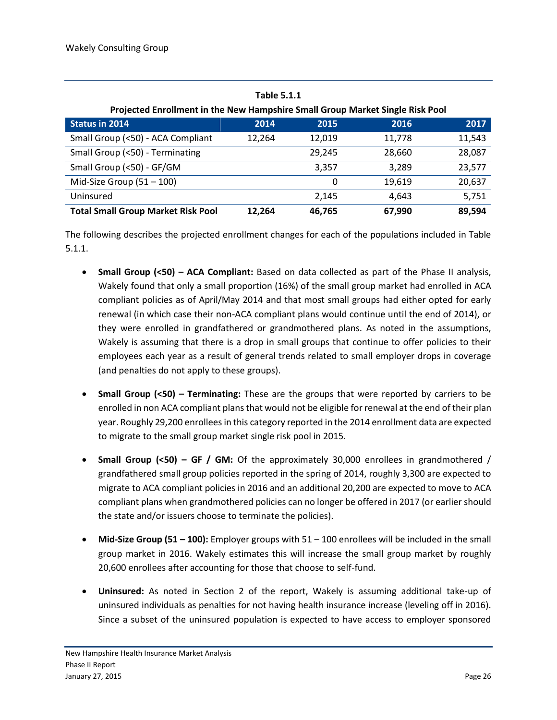| <b>Table 5.1.1</b>                                                            |        |        |        |        |  |  |
|-------------------------------------------------------------------------------|--------|--------|--------|--------|--|--|
| Projected Enrollment in the New Hampshire Small Group Market Single Risk Pool |        |        |        |        |  |  |
| <b>Status in 2014</b>                                                         | 2014   | 2015   | 2016   | 2017   |  |  |
| Small Group (<50) - ACA Compliant                                             | 12,264 | 12,019 | 11,778 | 11,543 |  |  |
| Small Group (<50) - Terminating                                               |        | 29.245 | 28,660 | 28,087 |  |  |
| Small Group (<50) - GF/GM                                                     |        | 3.357  | 3,289  | 23,577 |  |  |
| Mid-Size Group $(51 - 100)$                                                   |        | 0      | 19,619 | 20,637 |  |  |
| Uninsured                                                                     |        | 2,145  | 4.643  | 5,751  |  |  |
| <b>Total Small Group Market Risk Pool</b>                                     | 12.264 | 46,765 | 67,990 | 89,594 |  |  |

The following describes the projected enrollment changes for each of the populations included in Table 5.1.1.

- **Small Group (<50) – ACA Compliant:** Based on data collected as part of the Phase II analysis, Wakely found that only a small proportion (16%) of the small group market had enrolled in ACA compliant policies as of April/May 2014 and that most small groups had either opted for early renewal (in which case their non-ACA compliant plans would continue until the end of 2014), or they were enrolled in grandfathered or grandmothered plans. As noted in the assumptions, Wakely is assuming that there is a drop in small groups that continue to offer policies to their employees each year as a result of general trends related to small employer drops in coverage (and penalties do not apply to these groups).
- **Small Group (<50) – Terminating:** These are the groups that were reported by carriers to be enrolled in non ACA compliant plans that would not be eligible for renewal at the end of their plan year. Roughly 29,200 enrollees in this category reported in the 2014 enrollment data are expected to migrate to the small group market single risk pool in 2015.
- **Small Group (<50) – GF / GM:** Of the approximately 30,000 enrollees in grandmothered / grandfathered small group policies reported in the spring of 2014, roughly 3,300 are expected to migrate to ACA compliant policies in 2016 and an additional 20,200 are expected to move to ACA compliant plans when grandmothered policies can no longer be offered in 2017 (or earlier should the state and/or issuers choose to terminate the policies).
- **Mid-Size Group (51 – 100):** Employer groups with 51 100 enrollees will be included in the small group market in 2016. Wakely estimates this will increase the small group market by roughly 20,600 enrollees after accounting for those that choose to self-fund.
- **Uninsured:** As noted in Section 2 of the report, Wakely is assuming additional take-up of uninsured individuals as penalties for not having health insurance increase (leveling off in 2016). Since a subset of the uninsured population is expected to have access to employer sponsored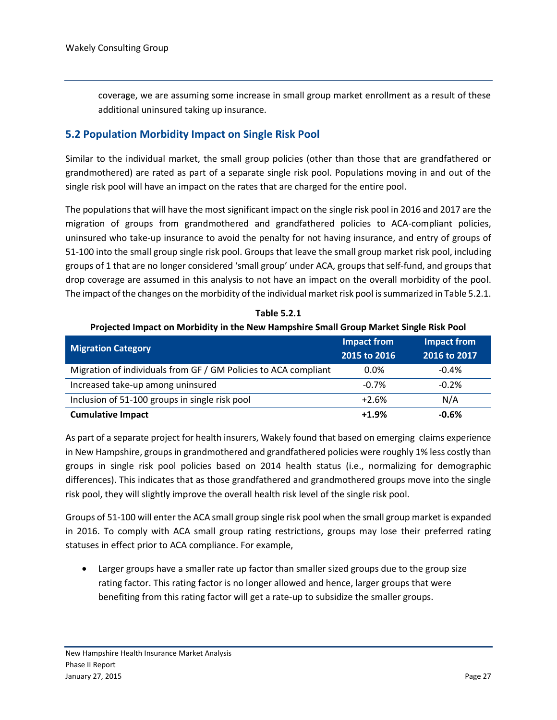coverage, we are assuming some increase in small group market enrollment as a result of these additional uninsured taking up insurance.

#### <span id="page-28-0"></span>**5.2 Population Morbidity Impact on Single Risk Pool**

Similar to the individual market, the small group policies (other than those that are grandfathered or grandmothered) are rated as part of a separate single risk pool. Populations moving in and out of the single risk pool will have an impact on the rates that are charged for the entire pool.

The populations that will have the most significant impact on the single risk pool in 2016 and 2017 are the migration of groups from grandmothered and grandfathered policies to ACA-compliant policies, uninsured who take-up insurance to avoid the penalty for not having insurance, and entry of groups of 51-100 into the small group single risk pool. Groups that leave the small group market risk pool, including groups of 1 that are no longer considered 'small group' under ACA, groups that self-fund, and groups that drop coverage are assumed in this analysis to not have an impact on the overall morbidity of the pool. The impact of the changes on the morbidity of the individual market risk pool is summarized in Table 5.2.1.

| <b>Migration Category</b>                                       | <b>Impact from</b><br>2015 to 2016 | <b>Impact from</b><br>2016 to 2017 |
|-----------------------------------------------------------------|------------------------------------|------------------------------------|
| Migration of individuals from GF / GM Policies to ACA compliant | $0.0\%$                            | $-0.4%$                            |
| Increased take-up among uninsured                               | $-0.7%$                            | $-0.2%$                            |
| Inclusion of 51-100 groups in single risk pool                  | $+2.6%$                            | N/A                                |
| <b>Cumulative Impact</b>                                        | $+1.9%$                            | $-0.6%$                            |

**Table 5.2.1 Projected Impact on Morbidity in the New Hampshire Small Group Market Single Risk Pool**

As part of a separate project for health insurers, Wakely found that based on emerging claims experience in New Hampshire, groups in grandmothered and grandfathered policies were roughly 1% less costly than groups in single risk pool policies based on 2014 health status (i.e., normalizing for demographic differences). This indicates that as those grandfathered and grandmothered groups move into the single risk pool, they will slightly improve the overall health risk level of the single risk pool.

Groups of 51-100 will enter the ACA small group single risk pool when the small group market is expanded in 2016. To comply with ACA small group rating restrictions, groups may lose their preferred rating statuses in effect prior to ACA compliance. For example,

 Larger groups have a smaller rate up factor than smaller sized groups due to the group size rating factor. This rating factor is no longer allowed and hence, larger groups that were benefiting from this rating factor will get a rate-up to subsidize the smaller groups.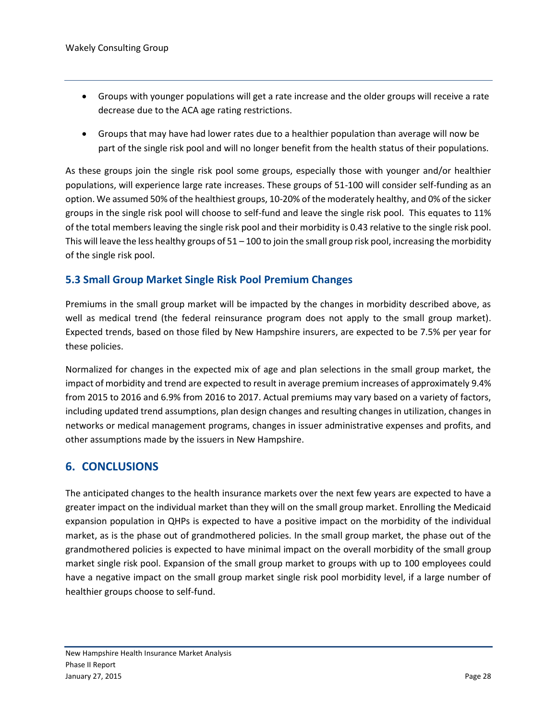- Groups with younger populations will get a rate increase and the older groups will receive a rate decrease due to the ACA age rating restrictions.
- Groups that may have had lower rates due to a healthier population than average will now be part of the single risk pool and will no longer benefit from the health status of their populations.

As these groups join the single risk pool some groups, especially those with younger and/or healthier populations, will experience large rate increases. These groups of 51-100 will consider self-funding as an option. We assumed 50% of the healthiest groups, 10-20% of the moderately healthy, and 0% of the sicker groups in the single risk pool will choose to self-fund and leave the single risk pool. This equates to 11% of the total members leaving the single risk pool and their morbidity is 0.43 relative to the single risk pool. This will leave the less healthy groups of  $51 - 100$  to join the small group risk pool, increasing the morbidity of the single risk pool.

#### <span id="page-29-0"></span>**5.3 Small Group Market Single Risk Pool Premium Changes**

Premiums in the small group market will be impacted by the changes in morbidity described above, as well as medical trend (the federal reinsurance program does not apply to the small group market). Expected trends, based on those filed by New Hampshire insurers, are expected to be 7.5% per year for these policies.

Normalized for changes in the expected mix of age and plan selections in the small group market, the impact of morbidity and trend are expected to result in average premium increases of approximately 9.4% from 2015 to 2016 and 6.9% from 2016 to 2017. Actual premiums may vary based on a variety of factors, including updated trend assumptions, plan design changes and resulting changes in utilization, changes in networks or medical management programs, changes in issuer administrative expenses and profits, and other assumptions made by the issuers in New Hampshire.

#### <span id="page-29-1"></span>**6. CONCLUSIONS**

The anticipated changes to the health insurance markets over the next few years are expected to have a greater impact on the individual market than they will on the small group market. Enrolling the Medicaid expansion population in QHPs is expected to have a positive impact on the morbidity of the individual market, as is the phase out of grandmothered policies. In the small group market, the phase out of the grandmothered policies is expected to have minimal impact on the overall morbidity of the small group market single risk pool. Expansion of the small group market to groups with up to 100 employees could have a negative impact on the small group market single risk pool morbidity level, if a large number of healthier groups choose to self-fund.